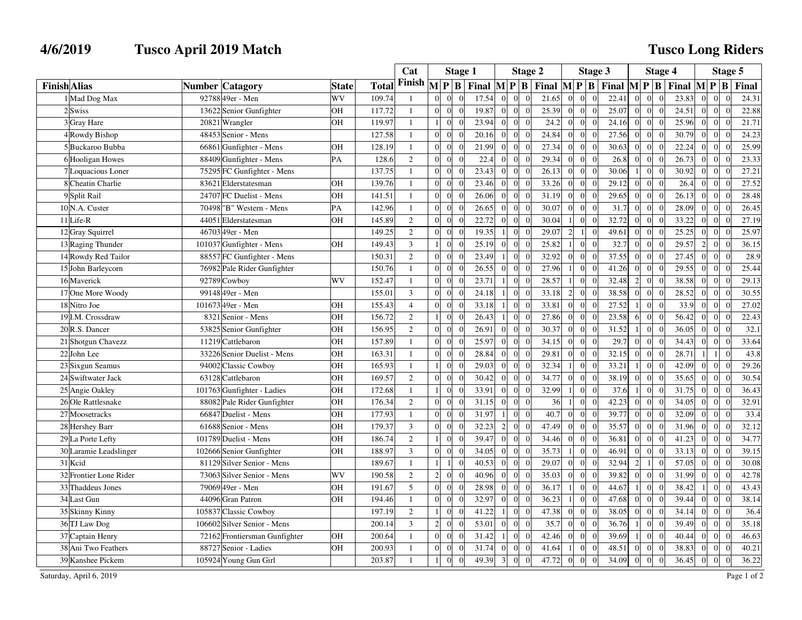## **4/6/2019 Tusco April 2019 Match**

## **Tusco Long Riders**

|                           |                                |              |        | Cat            |                                              | <b>Stage 1</b>                           |                         |                            | Stage 2 |                 |                                  | Stage 3                                                                           |                | <b>Stage 4</b>                     |                                          | Stage 5        |                                   |       |
|---------------------------|--------------------------------|--------------|--------|----------------|----------------------------------------------|------------------------------------------|-------------------------|----------------------------|---------|-----------------|----------------------------------|-----------------------------------------------------------------------------------|----------------|------------------------------------|------------------------------------------|----------------|-----------------------------------|-------|
| <b>Finish Alias</b>       | <b>Number Catagory</b>         | <b>State</b> | Total  | Finish         | $\mathbf{M}$<br>$\mathbf{P} \mathbf{B}$      | Final $\mathbf{M} \mathbf{P} \mathbf{B}$ |                         |                            |         |                 |                                  | Final $\mathbf{M} \mathbf{P} \mathbf{B}$ Final $\mathbf{M} \mathbf{P} \mathbf{B}$ |                |                                    | Final $\mathbf{M} \mathbf{P} \mathbf{B}$ |                |                                   | Final |
| 1 Mad Dog Max             | 92788 49er - Men               | WV           | 109.74 | $\overline{1}$ | $\Omega$<br>$\Omega$<br>$\Omega$             | 17.54                                    | $\Omega$                |                            | 21.65   | $\overline{0}$  | $\Omega$                         | 22.41<br>$\Omega$                                                                 | $\Omega$       | $\overline{0}$                     | 23.83                                    |                | $\Omega$                          | 24.31 |
| 2Swiss                    | 13622 Senior Gunfighter        | OН           | 117.72 | $\mathbf{1}$   | $\Omega$<br>$\Omega$<br>$\Omega$             | 19.87                                    | $\Omega$                | $\Omega$<br>$\Omega$       | 25.39   | $\Omega$        | $\overline{0}$<br>$\Omega$       | 25.07                                                                             | $\Omega$       | $\Omega$<br>$\Omega$               | 24.51                                    | $\Omega$       | $\vert 0 \vert$<br>$\Omega$       | 22.88 |
| 3 Gray Hare               | 20821 Wrangler                 | OН           | 119.97 | $\mathbf{1}$   | $\boldsymbol{0}$<br>$\mathbf{1}$             | 23.94                                    | $\boldsymbol{0}$        | $\Omega$                   | 24.2    | $\overline{0}$  | $\overline{0}$<br>$\overline{0}$ | 24.16                                                                             | $\overline{0}$ | $\vert 0 \vert$<br>$\Omega$        | 25.96                                    | $\overline{0}$ | $\vert 0 \vert$<br>$\overline{0}$ | 21.71 |
| 4 Rowdy Bishop            | 48453 Senior - Mens            |              | 127.58 | $\overline{1}$ | $\Omega$<br>$\Omega$<br>$\Omega$             | 20.16                                    | $\Omega$                | $\Omega$                   | 24.84   | $\vert 0 \vert$ | $\overline{0}$<br>$\overline{0}$ | 27.56                                                                             | $\Omega$       | $\overline{0}$<br>$\Omega$         | 30.79                                    | $\Omega$       | $\overline{0}$<br>$\Omega$        | 24.23 |
| 5Buckaroo Bubba           | 66861 Gunfighter - Mens        | OН           | 128.19 | $\mathbf{1}$   | $\Omega$<br>$\Omega$<br>$\Omega$             | 21.99                                    | $\theta$                | $\Omega$                   | 27.34   | $\overline{0}$  | $\overline{0}$<br>$\Omega$       | 30.63                                                                             | $\Omega$       | $\overline{0}$<br>$\Omega$         | 22.24                                    | $\Omega$       | $\overline{0}$<br>$\Omega$        | 25.99 |
| 6 Hooligan Howes          | 88409 Gunfighter - Mens        | PA           | 128.6  | 2              | $\Omega$<br>$\overline{0}$<br>$\Omega$       | 22.4                                     | $\overline{0}$          | $\overline{0}$             | 29.34   | $\overline{0}$  | $\overline{0}$<br>$\overline{0}$ | 26.8                                                                              | $\overline{0}$ | $\vert 0 \vert$<br>$\Omega$        | 26.73                                    | $\Omega$       | $\vert 0 \vert$<br>$\sqrt{ }$     | 23.33 |
| 7 Loquacious Loner        | 75295 FC Gunfighter - Mens     |              | 137.75 | $\mathbf{1}$   | $\Omega$<br>$\Omega$<br>$\Omega$             | 23.43                                    | $\overline{0}$          | $\Omega$<br>$\Omega$       | 26.13   | $\overline{0}$  | $\overline{0}$<br>$\overline{0}$ | 30.06                                                                             | $\vert$        | $\overline{0}$<br>$\overline{0}$   | 30.92                                    | $\Omega$       | $\overline{0}$<br>$\sqrt{ }$      | 27.21 |
| 8 Cheatin Charlie         | 83621 Elderstatesman           | OН           | 139.76 | $\mathbf{1}$   | $\theta$<br>$\overline{0}$                   | 23.46                                    | $\overline{0}$          | $\Omega$                   | 33.26   | $\mathbf{0}$    | $\overline{0}$<br>$\overline{0}$ | 29.12                                                                             | $\Omega$       | $\boldsymbol{0}$<br>$\Omega$       | 26.4                                     | $\overline{0}$ | $\overline{0}$                    | 27.52 |
| 9Split Rail               | FC Duelist - Mens<br>24707     | OН           | 141.51 | $\mathbf{1}$   | $\Omega$<br>$\Omega$<br>$\Omega$             | 26.06                                    | $\Omega$                | $\Omega$<br>$\Omega$       | 31.19   | $\overline{0}$  | $\theta$<br>$\overline{0}$       | 29.65                                                                             | $\Omega$       | $\overline{0}$<br>$\Omega$         | 26.13                                    | $\Omega$       | $\overline{0}$<br>$\sqrt{ }$      | 28.48 |
| 10 <sub>N.A.</sub> Custer | 70498<br>'B" Western - Mens    | PA           | 142.96 | $\overline{1}$ | $\theta$<br>$\overline{0}$<br>$\epsilon$     | 26.65                                    | $\mathbf{0}$            | $\overline{0}$             | 30.07   | $\overline{0}$  | $\overline{0}$<br>$\overline{0}$ | 31.7                                                                              | $\Omega$       | $\boldsymbol{0}$<br>$\Omega$       | 28.09                                    | $\Omega$       | $\vert 0 \vert$<br>$\overline{0}$ | 26.45 |
| 11 Life-R                 | 44051<br>Elderstatesman        | OН           | 145.89 | 2              | $\Omega$<br>$\Omega$<br>$\Omega$             | 22.72                                    | $\overline{0}$          | $\Omega$                   | 30.04   | 1 <sup>1</sup>  | $\overline{0}$<br>$\overline{0}$ | 32.72                                                                             | $\Omega$       | $\vert$ 0<br>$\Omega$              | 33.22                                    | $\Omega$       | $\overline{0}$<br>$\sqrt{ }$      | 27.19 |
| 12 Gray Squirrel          | 46703 49er - Men               |              | 149.25 | 2              | $\Omega$<br>$\Omega$<br>$\overline{0}$       | 19.35                                    | -1                      | $\Omega$<br>$\Omega$       | 29.07   | $\overline{2}$  | $\overline{0}$<br>-11            | 49.61                                                                             | $\Omega$       | $\overline{0}$<br>$\Omega$         | 25.25                                    | $\Omega$       | $\overline{0}$<br>$\Omega$        | 25.97 |
| 13 Raging Thunder         | 101037 Gunfighter - Mens       | OН           | 149.43 | $\mathfrak{Z}$ | $\mathbf{0}$<br>$\mathbf{1}$                 | 25.19                                    | $\boldsymbol{0}$        | $\Omega$                   | 25.82   | $1\vert$        | $\overline{0}$<br>$\overline{0}$ | 32.7                                                                              | $\overline{0}$ | $\boldsymbol{0}$<br>$\overline{0}$ | 29.57                                    | $\overline{2}$ | $\overline{0}$<br>$\overline{0}$  | 36.15 |
| 14 Rowdy Red Tailor       | 88557 FC Gunfighter - Mens     |              | 150.31 | $\overline{2}$ | $\Omega$<br>$\Omega$<br>$\Omega$             | 23.49                                    | $\overline{1}$          | $\Omega$<br>$\Omega$       | 32.92   | $\mathbf{0}$    | $\overline{0}$<br>$\theta$       | 37.55                                                                             | $\Omega$       | $\overline{0}$<br>$\theta$         | 27.45                                    | $\Omega$       | $\overline{0}$<br>$\Omega$        | 28.9  |
| 15 John Barleycorn        | 76982 Pale Rider Gunfighter    |              | 150.76 | $\overline{1}$ | $\theta$<br>$\overline{0}$                   | 26.55                                    | $\overline{0}$          | $\Omega$                   | 27.96   | $1\vert$        | $\Omega$<br>$\overline{0}$       | 41.26                                                                             | $\Omega$       | $\overline{0}$<br>$\Omega$         | 29.55                                    | $\Omega$       | $\overline{0}$<br>$\Omega$        | 25.44 |
| 16 Maverick               | 92789 Cowboy                   | WV           | 152.47 | $\overline{1}$ | $\Omega$<br>$\Omega$<br>$\Omega$             | 23.71                                    |                         |                            | 28.57   | 1 <sup>1</sup>  | $\theta$<br>$\Omega$             | 32.48                                                                             | $\overline{2}$ | $\overline{0}$<br>$\Omega$         | 38.58                                    | $\Omega$       | $\mathbf{0}$<br>$\sqrt{ }$        | 29.13 |
| 17 One More Woody         | 99148 49er - Men               |              | 155.01 | 3              | $\overline{0}$<br>$\overline{0}$<br>$\Omega$ | 24.18                                    | -1                      | $\overline{0}$<br>$\Omega$ | 33.18   | $\overline{2}$  | $\overline{0}$<br>$\overline{0}$ | 38.58                                                                             | $\overline{0}$ | $\overline{0}$<br>$\overline{0}$   | 28.52                                    | $\overline{0}$ | $\vert 0 \vert$<br>$\sqrt{ }$     | 30.55 |
| 18 Nitro Joe              | 101673 49er - Men              | OН           | 155.43 | $\overline{4}$ | $\Omega$<br>$\overline{0}$<br>$\sqrt{ }$     | 33.18                                    | $\mathbf{1}$            | $\Omega$                   | 33.81   | $\vert 0 \vert$ | $\overline{0}$<br>$\overline{0}$ | 27.52                                                                             |                | $\overline{0}$<br>$\Omega$         | 33.9                                     | $\Omega$       | $\boldsymbol{0}$                  | 27.02 |
| 19 I.M. Crossdraw         | 8321 Senior - Mens             | OН           | 156.72 | 2              | $\mathbf{1}$<br>$\Omega$<br>$\Omega$         | 26.43                                    | $\overline{1}$          | $\Omega$<br>$\Omega$       | 27.86   | $\overline{0}$  | $\Omega$<br>$\theta$             | 23.58                                                                             | 6              | $\overline{0}$<br>$\Omega$         | 56.42                                    | $\Omega$       | $\overline{0}$<br>$\Omega$        | 22.43 |
| 20 R.S. Dancer            | 53825 Senior Gunfighter        | OН           | 156.95 | $\overline{2}$ | $\Omega$<br>$\Omega$                         | 26.91                                    | $\mathbf{0}$            | $\Omega$                   | 30.37   | $\overline{0}$  | $\Omega$<br>$\bf{0}$             | 31.52                                                                             |                | $\mathbf{0}$<br>$\Omega$           | 36.05                                    | $\Omega$       | $\vert 0 \vert$<br>$\sqrt{ }$     | 32.1  |
| 21 Shotgun Chavezz        | 11219 Cattlebaron              | OН           | 157.89 | $\overline{1}$ | $\theta$<br>$\Omega$<br>$\Omega$             | 25.97                                    | $\overline{0}$          | $\Omega$                   | 34.15   | $\overline{0}$  | $\overline{0}$<br>$\overline{0}$ | 29.7                                                                              | $\Omega$       | $\overline{0}$<br>$\Omega$         | 34.43                                    | $\Omega$       | $\mathbf{0}$<br>$\Omega$          | 33.64 |
| 22 John Lee               | 33226 Senior Duelist - Mens    | OН           | 163.31 | $\mathbf{1}$   | $\overline{0}$<br>$\overline{0}$<br>$\Omega$ | 28.84                                    | $\overline{0}$          | $\overline{0}$             | 29.81   | $\overline{0}$  | $\overline{0}$<br>$\overline{0}$ | 32.15                                                                             | $\overline{0}$ | $\vert$ 0<br>$\overline{0}$        | 28.71                                    |                | 1 <sup>1</sup><br>$\overline{0}$  | 43.8  |
| 23 Sixgun Seamus          | 94002 Classic Cowboy           | OН           | 165.93 | $\mathbf{1}$   | $\mathbf{0}$<br>$\mathbf{1}$<br>$\Omega$     | 29.03                                    | $\overline{0}$          | $\Omega$                   | 32.34   | 1 <sup>1</sup>  | $\overline{0}$<br>$\theta$       | 33.21                                                                             |                | $\overline{0}$<br>$\Omega$         | 42.09                                    | $\Omega$       | $\overline{0}$<br>$\sqrt{ }$      | 29.26 |
| 24 Swiftwater Jack        | 63128 Cattlebaron              | OH           | 169.57 | 2              | $\Omega$<br>$\overline{0}$<br>$\Omega$       | 30.42                                    | $\mathbf{0}$            | $\Omega$<br>$\Omega$       | 34.77   | $\mathbf{0}$    | $\overline{0}$<br>$\overline{0}$ | 38.19                                                                             | $\Omega$       | $\overline{0}$<br>$\Omega$         | 35.65                                    | $\Omega$       | $\overline{0}$<br>$\Omega$        | 30.54 |
| 25 Angie Oakley           | 101763 Gunfighter - Ladies     | OН           | 172.68 | $\overline{1}$ | $\overline{0}$                               | 33.91                                    | $\overline{0}$          | $\Omega$                   | 32.99   | $\mathbf{1}$    | $\Omega$<br>$\overline{0}$       | 37.6                                                                              |                | $\boldsymbol{0}$<br>$\Omega$       | 31.75                                    | $\theta$       | $\overline{0}$                    | 36.43 |
| 26 Ole Rattlesnake        | 88082<br>Pale Rider Gunfighter | OН           | 176.34 | $\overline{2}$ | $\Omega$<br>$\Omega$<br>$\Omega$             | 31.15                                    | $\theta$                |                            | 36      | $\mathbf{1}$    | $\theta$<br>$\Omega$             | 42.23                                                                             | $\Omega$       | $\overline{0}$<br>$\Omega$         | 34.05                                    | $\Omega$       | $\mathbf{0}$                      | 32.91 |
| 27 Moosetracks            | 66847 Duelist - Mens           | OН           | 177.93 | $\mathbf{1}$   | $\Omega$<br>$\mathbf{0}$<br>$\sqrt{ }$       | 31.97                                    | $\mathbf{1}$            | $\Omega$                   | 40.7    | $\overline{0}$  | $\overline{0}$<br>$\overline{0}$ | 39.77                                                                             | $\Omega$       | $\overline{0}$<br>$\Omega$         | 32.09                                    | $\Omega$       | $\overline{0}$<br>$\Omega$        | 33.4  |
| 28 Hershey Barr           | 61688 Senior - Mens            | OН           | 179.37 | $\mathfrak{Z}$ | $\overline{0}$<br>$\overline{0}$<br>$\Omega$ | 32.23                                    | $\overline{2}$          | $\Omega$                   | 47.49   | $\overline{0}$  | $\overline{0}$<br>$\overline{0}$ | 35.57                                                                             | $\overline{0}$ | $\vert 0 \vert$<br>$\Omega$        | 31.96                                    | $\Omega$       | $\vert 0 \vert$<br>$\sqrt{ }$     | 32.12 |
| 29 La Porte Lefty         | 101789 Duelist - Mens          | <b>OH</b>    | 186.74 | $\overline{2}$ | $\overline{0}$<br>$\mathbf{1}$<br>$\Omega$   | 39.47                                    | $\mathbf{0}$            | $\theta$                   | 34.46   | $\overline{0}$  | $\theta$<br>$\overline{0}$       | 36.81                                                                             | $\Omega$       | $\overline{0}$<br>$\Omega$         | 41.23                                    | $\Omega$       | $\overline{0}$<br>$\Omega$        | 34.77 |
| 30 Laramie Leadslinger    | 102666 Senior Gunfighter       | OН           | 188.97 | $\overline{3}$ | $\Omega$<br>$\Omega$                         | 34.05                                    | $\overline{0}$          | $\Omega$                   | 35.73   | 1 <sup>1</sup>  | $\Omega$<br>$\Omega$             | 46.91                                                                             | $\Omega$       | $\overline{0}$                     | 33.13                                    | $\Omega$       | $\overline{0}$                    | 39.15 |
| 31 Kcid                   | 81129 Silver Senior - Mens     |              | 189.67 | $\overline{1}$ | $\overline{1}$<br>$\Omega$                   | 40.53                                    | $\overline{0}$          |                            | 29.07   | $\mathbf{0}$    | $\overline{0}$<br>$\overline{0}$ | 32.94                                                                             | $\overline{2}$ | $\mathbf{1}$<br>$\Omega$           | 57.05                                    | $\Omega$       | $\overline{0}$                    | 30.08 |
| 32 Frontier Lone Rider    | 73063 Silver Senior - Mens     | WV           | 190.58 | 2              | $\overline{c}$<br>$\overline{0}$<br>$\Omega$ | 40.96                                    | $\boldsymbol{0}$        | $\overline{0}$             | 35.03   | $\overline{0}$  | $\overline{0}$<br>$\overline{0}$ | 39.82                                                                             | $\overline{0}$ | $\vert 0 \vert$<br>$\overline{0}$  | 31.99                                    | $\overline{0}$ | $\overline{0}$<br>$\overline{0}$  | 42.78 |
| 33 Thaddeus Jones         | 79069 49er - Men               | OН           | 191.67 | 5              | $\theta$<br>$\overline{0}$<br>$\Omega$       | 28.98                                    | $\theta$                | $\Omega$                   | 36.17   | 1 <sup>1</sup>  | $\Omega$<br>$\theta$             | 44.67                                                                             | -1             | $\overline{0}$<br>$\Omega$         | 38.42                                    |                | $\overline{0}$<br>$\Omega$        | 43.43 |
| 34 Last Gun               | 44096 Gran Patron              | OН           | 194.46 | $\overline{1}$ | $\Omega$<br>$\Omega$<br>$\Omega$             | 32.97                                    | $\Omega$                | $\Omega$<br>$\Omega$       | 36.23   | 1 <sup>1</sup>  | $\theta$<br>$\Omega$             | 47.68                                                                             | $\Omega$       | $\Omega$<br>$\Omega$               | 39.44                                    | $\Omega$       | $\Omega$<br>$\Omega$              | 38.14 |
| 35 Skinny Kinny           | 105837 Classic Cowboy          |              | 197.19 | $\overline{2}$ | $\mathbf{1}$<br>$\overline{0}$               | 41.22                                    | $\overline{1}$          | $\Omega$                   | 47.38   | $\overline{0}$  | $\overline{0}$<br>$\overline{0}$ | 38.05                                                                             | $\Omega$       | $\boldsymbol{0}$<br>$\Omega$       | 34.14                                    | $\Omega$       | $\overline{0}$<br>$\sqrt{ }$      | 36.4  |
| 36 TJ Law Dog             | 106602 Silver Senior - Mens    |              | 200.14 | 3              | $\overline{c}$<br>$\Omega$<br>$\Omega$       | 53.01                                    | $\theta$                | $\Omega$<br>$\Omega$       | 35.7    | $\vert 0 \vert$ | $\theta$<br>$\overline{0}$       | 36.76                                                                             | -1             | $\overline{0}$<br>$\Omega$         | 39.49                                    | $\Omega$       | $\mathbf{0}$<br>$\sqrt{ }$        | 35.18 |
| 37 Captain Henry          | 72162 Frontiersman Gunfighter  | OН           | 200.64 | 1              | $\Omega$<br>$\overline{0}$<br>$\sqrt{ }$     | 31.42                                    | -1                      | $\Omega$                   | 42.46   | $\overline{0}$  | $\overline{0}$<br>$\overline{0}$ | 39.69                                                                             |                | $\overline{0}$<br>$\Omega$         | 40.44                                    | $\Omega$       | $\vert$ 0<br>$\Omega$             | 46.63 |
| 38 Ani Two Feathers       | 88727 Senior - Ladies          | OН           | 200.93 | 1              | $\overline{0}$<br>$\overline{0}$<br>$\Omega$ | 31.74                                    | $\overline{0}$          | $\Omega$                   | 41.64   | $\vert$ 1       | $\overline{0}$<br>$\overline{0}$ | 48.51                                                                             | $\overline{0}$ | $\boldsymbol{0}$<br>$\Omega$       | 38.83                                    | $\Omega$       | $\vert 0 \vert$<br>$\sqrt{ }$     | 40.21 |
| 39 Kanshee Pickem         | 105924 Young Gun Girl          |              | 203.87 | $\overline{1}$ | $\mathbf{0}$<br>$\Omega$                     | 49.39                                    | $\overline{\mathbf{3}}$ | $\Omega$<br>$\Omega$       | 47.72   | $\vert 0 \vert$ | $\overline{0}$<br>$\overline{0}$ | 34.09                                                                             | $\overline{0}$ | $\overline{0}$<br>$\Omega$         | 36.45                                    | $\Omega$       | $\overline{0}$<br>$\sqrt{ }$      | 36.22 |

Saturday, April 6, 2019